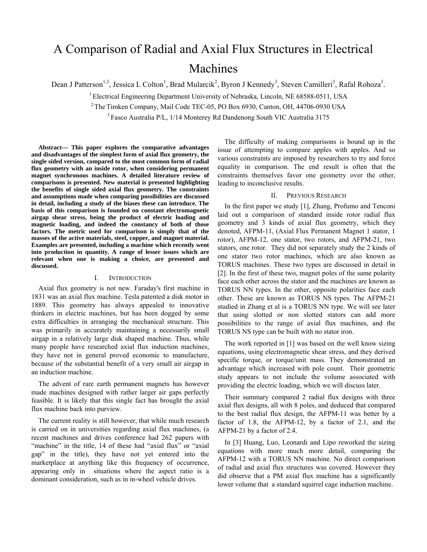# A Comparison of Radial and Axial Flux Structures in Electrical Machines

Dean J Patterson<sup>1,3</sup>, Jessica L Colton<sup>1</sup>, Brad Mularcik<sup>2</sup>, Byron J Kennedy<sup>3</sup>, Steven Camilleri<sup>3</sup>, Rafal Rohoza<sup>3</sup>.

<sup>1</sup> Electrical Engineering Department University of Nebraska, Lincoln, NE 68588-0511, USA

2 The Timken Company, Mail Code TEC-05, PO Box 6930, Canton, OH, 44706-0930 USA

3 Fasco Australia P/L, 1/14 Monterey Rd Dandenong South VIC Australia 3175

**Abstract— This paper explores the comparative advantages and disadvantages of the simplest form of axial flux geometry, the single sided version, compared to the most common form of radial flux geometry with an inside rotor, when considering permanent magnet synchronous machines. A detailed literature review of comparisons is presented. New material is presented highlighting the benefits of single sided axial flux geometry. The constraints and assumptions made when comparing possibilities are discussed in detail, including a study of the biases these can introduce. The basis of this comparison is founded on constant electromagnetic airgap shear stress, being the product of electric loading and magnetic loading, and indeed the constancy of both of those factors. The metric used for comparison is simply that of the masses of the active materials, steel, copper, and magnet material. Examples are presented, including a machine which recently went into production in quantity. A range of lesser issues which are relevant when one is making a choice, are presented and discussed.** 

## I. INTRODUCTION

Axial flux geometry is not new. Faraday's first machine in 1831 was an axial flux machine. Tesla patented a disk motor in 1889. This geometry has always appealed to innovative thinkers in electric machines, but has been dogged by some extra difficulties in arranging the mechanical structure. This was primarily in accurately maintaining a necessarily small airgap in a relatively large disk shaped machine. Thus, while many people have researched axial flux induction machines, they have not in general proved economic to manufacture, because of the substantial benefit of a very small air airgap in an induction machine.

The advent of rare earth permanent magnets has however made machines designed with rather larger air gaps perfectly feasible. It is likely that this single fact has brought the axial flux machine back into purview.

The current reality is still however, that while much research is carried on in universities regarding axial flux machines, (a recent machines and drives conference had 262 papers with "machine" in the title, 14 of these had "axial flux" or "axial gap" in the title), they have not yet entered into the marketplace at anything like this frequency of occurrence, appearing only in situations where the aspect ratio is a dominant consideration, such as in in-wheel vehicle drives.

The difficulty of making comparisons is bound up in the issue of attempting to compare apples with apples. And so various constraints are imposed by researchers to try and force equality in comparison. The end result is often that the constraints themselves favor one geometry over the other, leading to inconclusive results.

# II. PREVIOUS RESEARCH

In the first paper we study [1], Zhang, Profumo and Tenconi laid out a comparison of standard inside rotor radial flux geometry and 3 kinds of axial flux geometry, which they denoted, AFPM-11, (Axial Flux Permanent Magnet 1 stator, 1 rotor), AFPM-12, one stator, two rotors, and AFPM-21, two stators, one rotor. They did not separately study the 2 kinds of one stator two rotor machines, which are also known as TORUS machines. These two types are discussed in detail in [2]. In the first of these two, magnet poles of the same polarity face each other across the stator and the machines are known as TORUS NN types. In the other, opposite polarities face each other. These are known as TORUS NS types. The AFPM-21 studied in Zhang et al is a TORUS NN type. We will see later that using slotted or non slotted stators can add more possibilities to the range of axial flux machines, and the TORUS NS type can be built with no stator iron.

The work reported in [1] was based on the well know sizing equations, using electromagnetic shear stress, and they derived specific torque, or torque/unit mass. They demonstrated an advantage which increased with pole count. Their geometric study appears to not include the volume associated with providing the electric loading, which we will discuss later.

Their summary compared 2 radial flux designs with three axial flux designs, all with 8 poles, and deduced that compared to the best radial flux design, the AFPM-11 was better by a factor of 1.8, the AFPM-12, by a factor of 2.1, and the AFPM-21 by a factor of 2.4.

In [3] Huang, Luo, Leonardi and Lipo reworked the sizing equations with more much more detail, comparing the AFPM-12 with a TORUS NN machine. No direct comparison of radial and axial flux structures was covered. However they did observe that a PM axial flux machine has a significantly lower volume that a standard squirrel cage induction machine.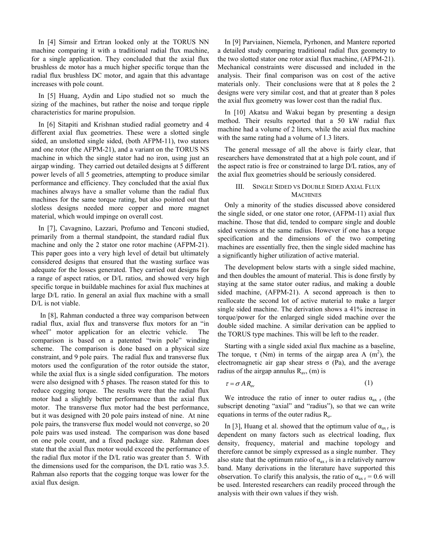In [4] Simsir and Ertran looked only at the TORUS NN machine comparing it with a traditional radial flux machine, for a single application. They concluded that the axial flux brushless dc motor has a much higher specific torque than the radial flux brushless DC motor, and again that this advantage increases with pole count.

In [5] Huang, Aydin and Lipo studied not so much the sizing of the machines, but rather the noise and torque ripple characteristics for marine propulsion.

In [6] Sitapiti and Krishnan studied radial geometry and 4 different axial flux geometries. These were a slotted single sided, an unslotted single sided, (both AFPM-11), two stators and one rotor (the AFPM-21), and a variant on the TORUS NS machine in which the single stator had no iron, using just an airgap winding. They carried out detailed designs at 5 different power levels of all 5 geometries, attempting to produce similar performance and efficiency. They concluded that the axial flux machines always have a smaller volume than the radial flux machines for the same torque rating, but also pointed out that slotless designs needed more copper and more magnet material, which would impinge on overall cost.

In [7], Cavagnino, Lazzari, Profumo and Tenconi studied, primarily from a thermal standpoint, the standard radial flux machine and only the 2 stator one rotor machine (AFPM-21). This paper goes into a very high level of detail but ultimately considered designs that ensured that the wasting surface was adequate for the losses generated. They carried out designs for a range of aspect ratios, or D/L ratios, and showed very high specific torque in buildable machines for axial flux machines at large D/L ratio. In general an axial flux machine with a small D/L is not viable.

 In [8], Rahman conducted a three way comparison between radial flux, axial flux and transverse flux motors for an "in wheel" motor application for an electric vehicle. The comparison is based on a patented "twin pole" winding scheme. The comparison is done based on a physical size constraint, and 9 pole pairs. The radial flux and transverse flux motors used the configuration of the rotor outside the stator, while the axial flux is a single sided configuration. The motors were also designed with 5 phases. The reason stated for this to reduce cogging torque. The results were that the radial flux motor had a slightly better performance than the axial flux motor. The transverse flux motor had the best performance, but it was designed with 20 pole pairs instead of nine. At nine pole pairs, the transverse flux model would not converge, so 20 pole pairs was used instead. The comparison was done based on one pole count, and a fixed package size. Rahman does state that the axial flux motor would exceed the performance of the radial flux motor if the D/L ratio was greater than 5. With the dimensions used for the comparison, the D/L ratio was 3.5. Rahman also reports that the cogging torque was lower for the axial flux design.

In [9] Parviainen, Niemela, Pyrhonen, and Mantere reported a detailed study comparing traditional radial flux geometry to the two slotted stator one rotor axial flux machine, (AFPM-21). Mechanical constraints were discussed and included in the analysis. Their final comparison was on cost of the active materials only. Their conclusions were that at 8 poles the 2 designs were very similar cost, and that at greater than 8 poles the axial flux geometry was lower cost than the radial flux.

In [10] Akatsu and Wakui began by presenting a design method. Their results reported that a 50 kW radial flux machine had a volume of 2 liters, while the axial flux machine with the same rating had a volume of 1.3 liters.

The general message of all the above is fairly clear, that researchers have demonstrated that at a high pole count, and if the aspect ratio is free or constrained to large D/L ratios, any of the axial flux geometries should be seriously considered.

# III. SINGLE SIDED VS DOUBLE SIDED AXIAL FLUX **MACHINES**

Only a minority of the studies discussed above considered the single sided, or one stator one rotor, (AFPM-11) axial flux machine. Those that did, tended to compare single and double sided versions at the same radius. However if one has a torque specification and the dimensions of the two competing machines are essentially free, then the single sided machine has a significantly higher utilization of active material.

The development below starts with a single sided machine, and then doubles the amount of material. This is done firstly by staying at the same stator outer radius, and making a double sided machine, (AFPM-21). A second approach is then to reallocate the second lot of active material to make a larger single sided machine. The derivation shows a 41% increase in torque/power for the enlarged single sided machine over the double sided machine. A similar derivation can be applied to the TORUS type machines. This will be left to the reader.

Starting with a single sided axial flux machine as a baseline, The torque,  $\tau$  (Nm) in terms of the airgap area A (m<sup>2</sup>), the electromagnetic air gap shear stress  $\sigma$  (Pa), and the average radius of the airgap annulus  $R_{av}$ , (m) is

$$
\tau = \sigma A R_{av} \tag{1}
$$

We introduce the ratio of inner to outer radius  $\alpha_{ax}$  (the subscript denoting "axial" and "radius"), so that we can write equations in terms of the outer radius  $R<sub>o</sub>$ .

In [3], Huang et al. showed that the optimum value of  $\alpha_{\text{ax r}}$  is dependent on many factors such as electrical loading, flux density, frequency, material and machine topology and therefore cannot be simply expressed as a single number. They also state that the optimum ratio of  $\alpha_{\text{ax r}}$  is in a relatively narrow band. Many derivations in the literature have supported this observation. To clarify this analysis, the ratio of  $\alpha_{\text{ax r}} = 0.6$  will be used. Interested researchers can readily proceed through the analysis with their own values if they wish.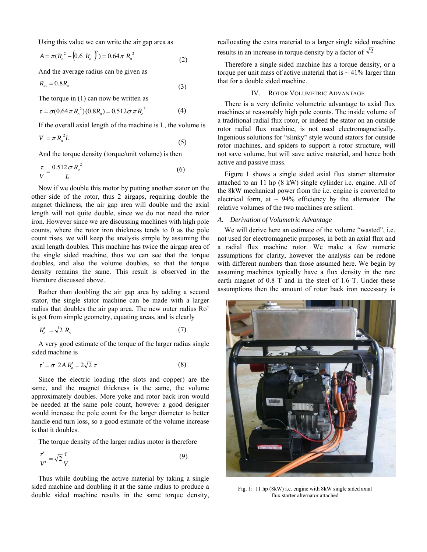Using this value we can write the air gap area as

$$
A = \pi (R_o^2 - (0.6 R_o)^2) = 0.64 \pi R_o^2
$$
 (2)

And the average radius can be given as

$$
R_{av} = 0.8R_o \tag{3}
$$

The torque in (1) can now be written as

$$
\tau = \sigma (0.64 \pi R_o^2)(0.8 R_o) = 0.512 \sigma \pi R_o^3 \tag{4}
$$

If the overall axial length of the machine is L, the volume is

$$
V = \pi R_o^2 L \tag{5}
$$

And the torque density (torque/unit volume) is then

$$
\frac{\tau}{V} = \frac{0.512 \sigma R_o^2}{L} \tag{6}
$$

Now if we double this motor by putting another stator on the other side of the rotor, thus 2 airgaps, requiring double the magnet thickness, the air gap area will double and the axial length will not quite double, since we do not need the rotor iron. However since we are discussing machines with high pole counts, where the rotor iron thickness tends to 0 as the pole count rises, we will keep the analysis simple by assuming the axial length doubles. This machine has twice the airgap area of the single sided machine, thus we can see that the torque doubles, and also the volume doubles, so that the torque density remains the same. This result is observed in the literature discussed above.

Rather than doubling the air gap area by adding a second stator, the single stator machine can be made with a larger radius that doubles the air gap area. The new outer radius Ro' is got from simple geometry, equating areas, and is clearly

$$
R_o' = \sqrt{2} R_o \tag{7}
$$

A very good estimate of the torque of the larger radius single sided machine is

$$
\tau' = \sigma \ 2A \ R'_o = 2\sqrt{2} \ \tau \tag{8}
$$

Since the electric loading (the slots and copper) are the same, and the magnet thickness is the same, the volume approximately doubles. More yoke and rotor back iron would be needed at the same pole count, however a good designer would increase the pole count for the larger diameter to better handle end turn loss, so a good estimate of the volume increase is that it doubles.

The torque density of the larger radius motor is therefore

$$
\frac{\tau'}{V'} = \sqrt{2} \frac{\tau}{V} \tag{9}
$$

Thus while doubling the active material by taking a single sided machine and doubling it at the same radius to produce a double sided machine results in the same torque density, reallocating the extra material to a larger single sided machine results in an increase in torque density by a factor of  $\sqrt{2}$ 

Therefore a single sided machine has a torque density, or a torque per unit mass of active material that is  $\sim$  41% larger than that for a double sided machine.

## IV. ROTOR VOLUMETRIC ADVANTAGE

There is a very definite volumetric advantage to axial flux machines at reasonably high pole counts. The inside volume of a traditional radial flux rotor, or indeed the stator on an outside rotor radial flux machine, is not used electromagnetically. Ingenious solutions for "slinky" style wound stators for outside rotor machines, and spiders to support a rotor structure, will not save volume, but will save active material, and hence both active and passive mass.

Figure 1 shows a single sided axial flux starter alternator attached to an 11 hp (8 kW) single cylinder i.c. engine. All of the 8kW mechanical power from the i.c. engine is converted to electrical form, at  $\sim$  94% efficiency by the alternator. The relative volumes of the two machines are salient.

# *A. Derivation of Volumetric Advantage*

We will derive here an estimate of the volume "wasted", i.e. not used for electromagnetic purposes, in both an axial flux and a radial flux machine rotor. We make a few numeric assumptions for clarity, however the analysis can be redone with different numbers than those assumed here. We begin by assuming machines typically have a flux density in the rare earth magnet of 0.8 T and in the steel of 1.6 T. Under these assumptions then the amount of rotor back iron necessary is



Fig. 1: 11 hp (8kW) i.c. engine with 8kW single sided axial flux starter alternator attached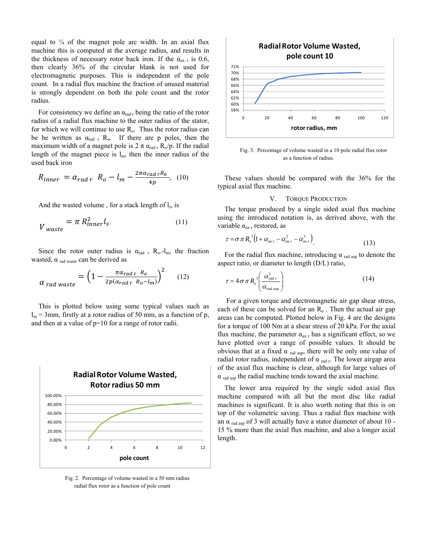equal to  $\frac{1}{4}$  of the magnet pole arc width. In an axial flux machine this is computed at the average radius, and results in the thickness of necessary rotor back iron. If the  $\alpha_{ax}$  is 0.6, then clearly 36% of the circular blank is not used for electromagnetic purposes. This is independent of the pole count. In a radial flux machine the fraction of unused material is strongly dependent on both the pole count and the rotor radius.

For consistency we define an  $\alpha_{rad}$  being the ratio of the rotor radius of a radial flux machine to the outer radius of the stator, for which we will continue to use  $R_0$ . Thus the rotor radius can be be written as  $\alpha_{rad}$  R<sub>0</sub>. If there are p poles, then the maximum width of a magnet pole is  $2 \pi \alpha_{rad r} R_o/p$ . If the radial length of the magnet piece is  $l_m$ , then the inner radius of the used back iron

$$
R_{inner} = \alpha_{rad\,r} \ R_o - l_m - \frac{2\pi\alpha_{rad\,r}R_0}{4p}, \ (10)
$$

And the wasted volume, for a stack length of  $l_s$ , is

$$
V_{waste} = \pi R_{inner}^2 l_s. \tag{11}
$$

Since the rotor outer radius is  $\alpha_{rad}$  <sub>r</sub> R<sub>o</sub>.-l<sub>m</sub>, the fraction wasted,  $\alpha$  rad waste can be derived as

$$
\alpha_{rad\, waste} = \left(1 - \frac{\pi \alpha_{rad\,r} \ R_o}{2p(\alpha_{rad\,r} \ R_o - l_m)}\right)^2 \tag{12}
$$

This is plotted below using some typical values such as  $l_m$  = 3mm, firstly at a rotor radius of 50 mm, as a function of p, and then at a value of p=10 for a range of rotor radii.



Fig. 2. Percentage of volume wasted in a 50 mm radius radial flux rotor as a function of pole count



Fig. 3. Percentage of volume wasted in a 10 pole radial flux rotor as a function of radius.

These values should be compared with the 36% for the typical axial flux machine.

### V. TORQUE PRODUCTION

The torque produced by a single sided axial flux machine using the introduced notation is, as derived above, with the variable  $\alpha_{\text{ax r}}$  restored, as

$$
\tau = \sigma \pi R_o^3 \left( 1 + \alpha_{\alpha x} - \alpha_{\alpha x}^2 - \alpha_{\alpha x}^3 \right) \tag{13}
$$

For the radial flux machine, introducing  $\alpha$  rad asp to denote the aspect ratio, or diameter to length (D/L) ratio,

$$
\tau = 4\sigma \pi R_o^3 \left( \frac{\alpha_{\text{rad }r}^3}{\alpha_{\text{rad }ap}} \right) \tag{14}
$$

 For a given torque and electromagnetic air gap shear stress, each of these can be solved for an  $R_0$ . Then the actual air gap areas can be computed. Plotted below in Fig. 4 are the designs for a torque of 100 Nm at a shear stress of 20 kPa. For the axial flux machine, the parameter  $\alpha_{ax}$  has a significant effect, so we have plotted over a range of possible values. It should be obvious that at a fixed  $\alpha$  <sub>rad asp</sub>, there will be only one value of radial rotor radius, independent of  $\alpha$  rad r. The lower airgap area of the axial flux machine is clear, although for large values of  $\alpha$ <sub>rad asp</sub> the radial machine tends toward the axial machine.

The lower area required by the single sided axial flux machine compared with all but the most disc like radial machines is significant. It is also worth noting that this is on top of the volumetric saving. Thus a radial flux machine with an  $\alpha$ <sub>rad asp</sub> of 3 will actually have a stator diameter of about 10 -15 % more than the axial flux machine, and also a longer axial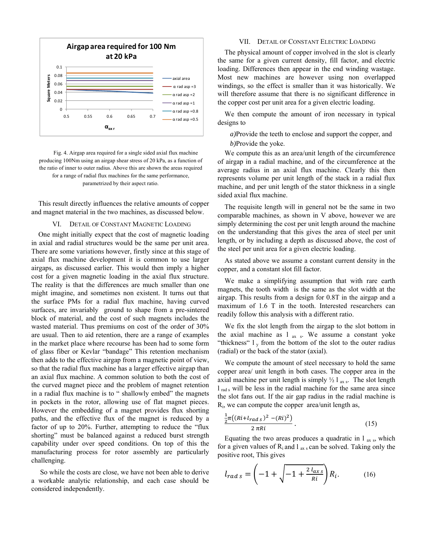

Fig. 4. Airgap area required for a single sided axial flux machine producing 100Nm using an airgap shear stress of 20 kPa, as a function of the ratio of inner to outer radius. Above this are shown the areas required for a range of radial flux machines for the same performance, parametrized by their aspect ratio.

This result directly influences the relative amounts of copper and magnet material in the two machines, as discussed below.

#### VI. DETAIL OF CONSTANT MAGNETIC LOADING

One might initially expect that the cost of magnetic loading in axial and radial structures would be the same per unit area. There are some variations however, firstly since at this stage of axial flux machine development it is common to use larger airgaps, as discussed earlier. This would then imply a higher cost for a given magnetic loading in the axial flux structure. The reality is that the differences are much smaller than one might imagine, and sometimes non existent. It turns out that the surface PMs for a radial flux machine, having curved surfaces, are invariably ground to shape from a pre-sintered block of material, and the cost of such magnets includes the wasted material. Thus premiums on cost of the order of 30% are usual. Then to aid retention, there are a range of examples in the market place where recourse has been had to some form of glass fiber or Kevlar "bandage" This retention mechanism then adds to the effective airgap from a magnetic point of view, so that the radial flux machine has a larger effective airgap than an axial flux machine. A common solution to both the cost of the curved magnet piece and the problem of magnet retention in a radial flux machine is to " shallowly embed" the magnets in pockets in the rotor, allowing use of flat magnet pieces. However the embedding of a magnet provides flux shorting paths, and the effective flux of the magnet is reduced by a factor of up to 20%. Further, attempting to reduce the "flux shorting" must be balanced against a reduced burst strength capability under over speed conditions. On top of this the manufacturing process for rotor assembly are particularly challenging.

 So while the costs are close, we have not been able to derive a workable analytic relationship, and each case should be considered independently.

### VII. DETAIL OF CONSTANT ELECTRIC LOADING

The physical amount of copper involved in the slot is clearly the same for a given current density, fill factor, and electric loading. Differences then appear in the end winding wastage. Most new machines are however using non overlapped windings, so the effect is smaller than it was historically. We will therefore assume that there is no significant difference in the copper cost per unit area for a given electric loading.

We then compute the amount of iron necessary in typical designs to

*a)*Provide the teeth to enclose and support the copper, and *b)*Provide the yoke.

We compute this as an area/unit length of the circumference of airgap in a radial machine, and of the circumference at the average radius in an axial flux machine. Clearly this then represents volume per unit length of the stack in a radial flux machine, and per unit length of the stator thickness in a single sided axial flux machine.

The requisite length will in general not be the same in two comparable machines, as shown in V above, however we are simply determining the cost per unit length around the machine on the understanding that this gives the area of steel per unit length, or by including a depth as discussed above, the cost of the steel per unit area for a given electric loading.

As stated above we assume a constant current density in the copper, and a constant slot fill factor.

We make a simplifying assumption that with rare earth magnets, the tooth width is the same as the slot width at the airgap. This results from a design for 0.8T in the airgap and a maximum of 1.6 T in the tooth. Interested researchers can readily follow this analysis with a different ratio.

We fix the slot length from the airgap to the slot bottom in the axial machine as  $l_{ax}$ , We assume a constant yoke "thickness"  $l<sub>y</sub>$  from the bottom of the slot to the outer radius (radial) or the back of the stator (axial).

We compute the amount of steel necessary to hold the same copper area/ unit length in both cases. The copper area in the axial machine per unit length is simply  $\frac{1}{2}$  l<sub>ax s</sub>. The slot length  $l_{rad s}$  will be less in the radial machine for the same area since the slot fans out. If the air gap radius in the radial machine is  $R_i$ , we can compute the copper area/unit length as,

$$
\frac{\frac{1}{2}\pi((Ri + l_{rad\,s})^2 - (Ri)^2)}{2\,\pi Ri} \,. \tag{15}
$$

Equating the two areas produces a quadratic in  $l_{ax}$ , which for a given values of  $R_i$  and  $l_{ax}$  can be solved. Taking only the positive root, This gives

$$
l_{rad\,s} = \left(-1 + \sqrt{-1 + \frac{2\,l_{ax\,s}}{Ri}}\right) R_i.
$$
 (16)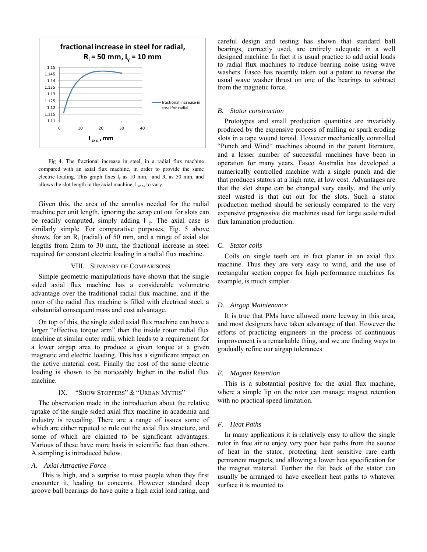

Fig 4. The fractional increase in steel, in a radial flux machine compared with an axial flux machine, in order to provide the same electric loading. This graph fixes  $l_v$  as 10 mm, and  $R_i$  as 50 mm, and allows the slot length in the axial machine,  $l_{\text{ax s}}$ , to vary

Given this, the area of the annulus needed for the radial machine per unit length, ignoring the scrap cut out for slots can be readily computed, simply adding  $l_{v}$ . The axial case is similarly simple. For comparative purposes, Fig. 5 above shows, for an  $R_i$  (radial) of 50 mm, and a range of axial slot lengths from 2mm to 30 mm, the fractional increase in steel required for constant electric loading in a radial flux machine.

#### VIII. SUMMARY OF COMPARISONS

Simple geometric manipulations have shown that the single sided axial flux machine has a considerable volumetric advantage over the traditional radial flux machine, and if the rotor of the radial flux machine is filled with electrical steel, a substantial consequent mass and cost advantage.

On top of this, the single sided axial flux machine can have a larger "effective torque arm" than the inside rotor radial flux machine at similar outer radii, which leads to a requirement for a lower airgap area to produce a given torque at a given magnetic and electric loading. This has a significant impact on the active material cost. Finally the cost of the same electric loading is shown to be noticeably higher in the radial flux machine.

# IX. "SHOW STOPPERS" & "URBAN MYTHS"

The observation made in the introduction about the relative uptake of the single sided axial flux machine in academia and industry is revealing. There are a range of issues some of which are either reputed to rule out the axial flux structure, and some of which are claimed to be significant advantages. Various of these have more basis in scientific fact than others. A sampling is introduced below.

## *A. Axial Attractive Force*

This is high, and a surprise to most people when they first encounter it, leading to concerns. However standard deep groove ball bearings do have quite a high axial load rating, and careful design and testing has shown that standard ball bearings, correctly used, are entirely adequate in a well designed machine. In fact it is usual practice to add axial loads to radial flux machines to reduce bearing noise using wave washers. Fasco has recently taken out a patent to reverse the usual wave washer thrust on one of the bearings to subtract from the magnetic force.

### *B. Stator construction*

Prototypes and small production quantities are invariably produced by the expensive process of milling or spark eroding slots in a tape wound toroid. However mechanically controlled "Punch and Wind" machines abound in the patent literature, and a lesser number of successful machines have been in operation for many years. Fasco Australia has developed a numerically controlled machine with a single punch and die that produces stators at a high rate, at low cost. Advantages are that the slot shape can be changed very easily, and the only steel wasted is that cut out for the slots. Such a stator production method should be seriously compared to the very expensive progressive die machines used for large scale radial flux lamination production.

## *C. Stator coils*

Coils on single teeth are in fact planar in an axial flux machine. Thus they are very easy to wind, and the use of rectangular section copper for high performance machines for example, is much simpler.

## *D. Airgap Maintenance*

It is true that PMs have allowed more leeway in this area, and most designers have taken advantage of that. However the efforts of practicing engineers in the process of continuous improvement is a remarkable thing, and we are finding ways to gradually refine our airgap tolerances

#### *E. Magnet Retention*

This is a substantial positive for the axial flux machine, where a simple lip on the rotor can manage magnet retention with no practical speed limitation.

## *F. Heat Paths*

In many applications it is relatively easy to allow the single rotor in free air to enjoy very poor heat paths from the source of heat in the stator, protecting heat sensitive rare earth permanent magnets, and allowing a lower heat specification for the magnet material. Further the flat back of the stator can usually be arranged to have excellent heat paths to whatever surface it is mounted to.